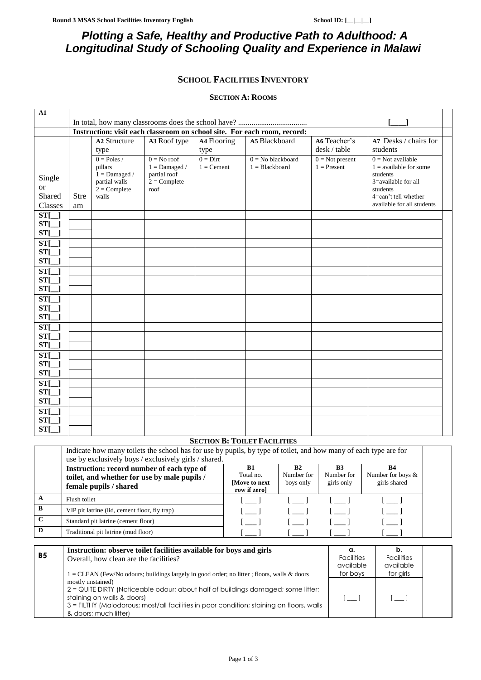# *Plotting a Safe, Healthy and Productive Path to Adulthood: A Longitudinal Study of Schooling Quality and Experience in Malawi*

# **SCHOOL FACILITIES INVENTORY**

### **SECTION A: ROOMS**

| ${\bf A1}$                               |                                                                          |                                                                                                |                                                                            |                            |                                         |                                    |                                                                                                                                                      |
|------------------------------------------|--------------------------------------------------------------------------|------------------------------------------------------------------------------------------------|----------------------------------------------------------------------------|----------------------------|-----------------------------------------|------------------------------------|------------------------------------------------------------------------------------------------------------------------------------------------------|
|                                          |                                                                          |                                                                                                |                                                                            |                            |                                         |                                    |                                                                                                                                                      |
|                                          | Instruction: visit each classroom on school site. For each room, record: |                                                                                                |                                                                            |                            |                                         |                                    |                                                                                                                                                      |
|                                          |                                                                          | <b>A2 Structure</b><br>type                                                                    | A3 Roof type                                                               | A4 Flooring<br>type        | A5 Blackboard                           | A6 Teacher's<br>desk / table       | A7 Desks / chairs for<br>students                                                                                                                    |
| Single<br><b>or</b><br>Shared<br>Classes | <b>Stre</b><br>am                                                        | $0 = Poles /$<br>pillars<br>$1 =$ Damaged $\prime$<br>partial walls<br>$2 =$ Complete<br>walls | $0 = No$ roof<br>$1 =$ Damaged /<br>partial roof<br>$2 =$ Complete<br>roof | $0 =$ Dirt<br>$1 =$ Cement | $0 =$ No blackboard<br>$1 = Blackboard$ | $0 = Not present$<br>$1 =$ Present | $0 = Not available$<br>$1 =$ available for some<br>students<br>3=available for all<br>students<br>4=can't tell whether<br>available for all students |
| $ST[\ ]$                                 |                                                                          |                                                                                                |                                                                            |                            |                                         |                                    |                                                                                                                                                      |
| $ST[\ ]$                                 |                                                                          |                                                                                                |                                                                            |                            |                                         |                                    |                                                                                                                                                      |
| $ST[\_]$                                 |                                                                          |                                                                                                |                                                                            |                            |                                         |                                    |                                                                                                                                                      |
| $ST[\ ]$                                 |                                                                          |                                                                                                |                                                                            |                            |                                         |                                    |                                                                                                                                                      |
| $ST[\ ]$                                 |                                                                          |                                                                                                |                                                                            |                            |                                         |                                    |                                                                                                                                                      |
| $ST[\ ]$                                 |                                                                          |                                                                                                |                                                                            |                            |                                         |                                    |                                                                                                                                                      |
| $ST[\ ]$                                 |                                                                          |                                                                                                |                                                                            |                            |                                         |                                    |                                                                                                                                                      |
| $ST[\ ]$                                 |                                                                          |                                                                                                |                                                                            |                            |                                         |                                    |                                                                                                                                                      |
| $ST[\ ]$                                 |                                                                          |                                                                                                |                                                                            |                            |                                         |                                    |                                                                                                                                                      |
| $ST[\ ]$                                 |                                                                          |                                                                                                |                                                                            |                            |                                         |                                    |                                                                                                                                                      |
| $ST[\ ]$                                 |                                                                          |                                                                                                |                                                                            |                            |                                         |                                    |                                                                                                                                                      |
| $ST[\ ]$                                 |                                                                          |                                                                                                |                                                                            |                            |                                         |                                    |                                                                                                                                                      |
| $ST[\ ]$                                 |                                                                          |                                                                                                |                                                                            |                            |                                         |                                    |                                                                                                                                                      |
| $ST[\ ]$                                 |                                                                          |                                                                                                |                                                                            |                            |                                         |                                    |                                                                                                                                                      |
| $ST[\_]$                                 |                                                                          |                                                                                                |                                                                            |                            |                                         |                                    |                                                                                                                                                      |
| $ST[\ ]$                                 |                                                                          |                                                                                                |                                                                            |                            |                                         |                                    |                                                                                                                                                      |
| $ST[\ ]$                                 |                                                                          |                                                                                                |                                                                            |                            |                                         |                                    |                                                                                                                                                      |
| $ST[\ ]$                                 |                                                                          |                                                                                                |                                                                            |                            |                                         |                                    |                                                                                                                                                      |
| $ST[\ ]$                                 |                                                                          |                                                                                                |                                                                            |                            |                                         |                                    |                                                                                                                                                      |
| $ST[\ ]$                                 |                                                                          |                                                                                                |                                                                            |                            |                                         |                                    |                                                                                                                                                      |
| $ST[\_]$                                 |                                                                          |                                                                                                |                                                                            |                            |                                         |                                    |                                                                                                                                                      |
| $ST[\ ]$                                 |                                                                          |                                                                                                |                                                                            |                            |                                         |                                    |                                                                                                                                                      |
| $ST[\ ]$                                 |                                                                          |                                                                                                |                                                                            |                            |                                         |                                    |                                                                                                                                                      |
| $ST[\ ]$                                 |                                                                          |                                                                                                |                                                                            |                            |                                         |                                    |                                                                                                                                                      |
|                                          |                                                                          |                                                                                                |                                                                            |                            |                                         |                                    |                                                                                                                                                      |
|                                          |                                                                          |                                                                                                |                                                                            |                            | <b>SECTION B: TOILET FACILITIES</b>     |                                    |                                                                                                                                                      |

|              | Indicate how many toilets the school has for use by pupils, by type of toilet, and how many of each type are for<br>use by exclusively boys / exclusively girls / shared. |                                                          |                               |                                       |                                                |
|--------------|---------------------------------------------------------------------------------------------------------------------------------------------------------------------------|----------------------------------------------------------|-------------------------------|---------------------------------------|------------------------------------------------|
|              | Instruction: record number of each type of<br>toilet, and whether for use by male pupils /<br>female pupils / shared                                                      | <b>B1</b><br>Total no.<br>[Move to next]<br>row if zero] | B2<br>Number for<br>boys only | <b>B3</b><br>Number for<br>girls only | <b>B4</b><br>Number for boys &<br>girls shared |
| A            | Flush toilet                                                                                                                                                              |                                                          |                               |                                       |                                                |
| $\mathbf B$  | VIP pit latrine (lid, cement floor, fly trap)                                                                                                                             |                                                          |                               |                                       |                                                |
| $\mathbf{C}$ | Standard pit latrine (cement floor)                                                                                                                                       |                                                          |                               |                                       |                                                |
| D            | Traditional pit latrine (mud floor)                                                                                                                                       |                                                          |                               |                                       |                                                |

|           | Instruction: observe toilet facilities available for boys and girls                           | а.                | D.                |  |
|-----------|-----------------------------------------------------------------------------------------------|-------------------|-------------------|--|
| <b>B5</b> | Overall, how clean are the facilities?                                                        | <b>Facilities</b> | <b>Facilities</b> |  |
|           |                                                                                               | available         | available         |  |
|           | $1 =$ CLEAN (Few/No odours; buildings largely in good order; no litter; floors, walls & doors | for boys          | for girls         |  |
|           | mostly unstained)                                                                             |                   |                   |  |
|           | 2 = QUITE DIRTY (Noticeable odour; about half of buildings damaged; some litter;              |                   |                   |  |
|           | staining on walls & doors)                                                                    |                   |                   |  |
|           | 3 = FILTHY (Malodorous; most/all facilities in poor condition; staining on floors, walls      |                   |                   |  |
|           | & doors; much litter)                                                                         |                   |                   |  |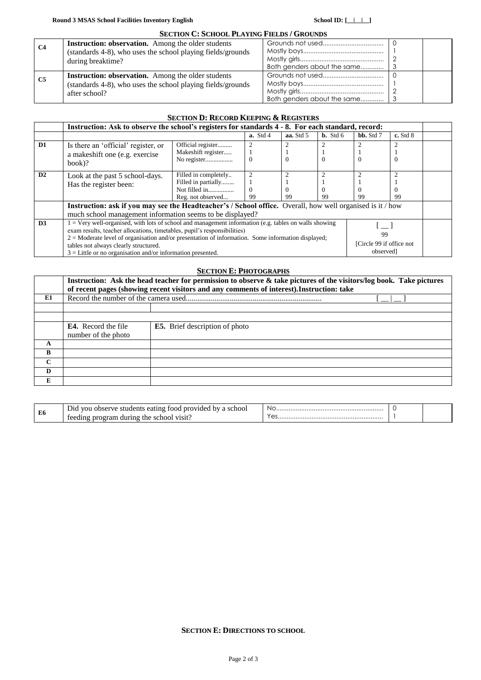|                | <b>SECTION C: SCHOOL PLAYING FIELDS / GROUNDS</b>                                                                                         |                             |  |
|----------------|-------------------------------------------------------------------------------------------------------------------------------------------|-----------------------------|--|
| <b>C4</b>      | Instruction: observation. Among the older students<br>(standards 4-8), who uses the school playing fields/grounds                         |                             |  |
|                | during breaktime?                                                                                                                         | Both genders about the same |  |
| C <sub>5</sub> | <b>Instruction: observation.</b> Among the older students<br>(standards 4-8), who uses the school playing fields/grounds<br>after school? | Both genders about the same |  |

|                |                                                                                                                                                                                                                                                                                                   | <b>SECTION D: RECORD KEEPING &amp; REGISTERS</b>                                  |                                  |           |                      |               |              |  |
|----------------|---------------------------------------------------------------------------------------------------------------------------------------------------------------------------------------------------------------------------------------------------------------------------------------------------|-----------------------------------------------------------------------------------|----------------------------------|-----------|----------------------|---------------|--------------|--|
|                | Instruction: Ask to observe the school's registers for standards 4 - 8. For each standard, record:                                                                                                                                                                                                |                                                                                   |                                  |           |                      |               |              |  |
|                |                                                                                                                                                                                                                                                                                                   |                                                                                   | $a.$ Std 4                       | aa. Std 5 | $\mathbf{b}$ . Std 6 | $bb.$ Std $7$ | $c.$ Std $8$ |  |
| D <sub>1</sub> | Is there an 'official' register, or<br>a makeshift one (e.g. exercise                                                                                                                                                                                                                             | Official register<br>Makeshift register<br>No register                            | $\Omega$                         |           | $\Omega$             | $\theta$      |              |  |
|                | $book$ ?                                                                                                                                                                                                                                                                                          |                                                                                   |                                  |           |                      |               |              |  |
| D2             | Look at the past 5 school-days.<br>Has the register been:                                                                                                                                                                                                                                         | Filled in completely<br>Filled in partially<br>Not filled in<br>Reg. not observed | $\overline{2}$<br>$\Omega$<br>99 | 99        | $\Omega$<br>99       | 99            | 99           |  |
|                | Instruction: ask if you may see the Headteacher's / School office. Overall, how well organised is it / how                                                                                                                                                                                        |                                                                                   |                                  |           |                      |               |              |  |
|                | much school management information seems to be displayed?                                                                                                                                                                                                                                         |                                                                                   |                                  |           |                      |               |              |  |
| D3             | $1 =$ Very well-organised, with lots of school and management information (e.g. tables on walls showing<br>exam results, teacher allocations, timetables, pupil's responsibilities)<br>99<br>$2 =$ Moderate level of organisation and/or presentation of information. Some information displayed; |                                                                                   |                                  |           |                      |               |              |  |
|                | [Circle 99 if office not]<br>tables not always clearly structured.<br>observed]<br>$3 =$ Little or no organisation and/or information presented.                                                                                                                                                  |                                                                                   |                                  |           |                      |               |              |  |
|                |                                                                                                                                                                                                                                                                                                   |                                                                                   |                                  |           |                      |               |              |  |

## **SECTION E: PHOTOGRAPHS**

|              | Instruction: Ask the head teacher for permission to observe & take pictures of the visitors/log book. Take pictures<br>of recent pages (showing recent visitors and any comments of interest). Instruction: take |                                       |  |  |  |
|--------------|------------------------------------------------------------------------------------------------------------------------------------------------------------------------------------------------------------------|---------------------------------------|--|--|--|
| E1           |                                                                                                                                                                                                                  |                                       |  |  |  |
|              |                                                                                                                                                                                                                  |                                       |  |  |  |
|              |                                                                                                                                                                                                                  |                                       |  |  |  |
|              | <b>E4.</b> Record the file<br>number of the photo                                                                                                                                                                | <b>E5.</b> Brief description of photo |  |  |  |
| A            |                                                                                                                                                                                                                  |                                       |  |  |  |
| B            |                                                                                                                                                                                                                  |                                       |  |  |  |
| $\mathbf{C}$ |                                                                                                                                                                                                                  |                                       |  |  |  |
| D            |                                                                                                                                                                                                                  |                                       |  |  |  |
| E            |                                                                                                                                                                                                                  |                                       |  |  |  |

| E6 | nro<br>ader .<br>hv.<br>voi<br>D1C<br>'VE<br>onse<br>:nooi<br>$\alpha$<br>-16<br>ян<br>.<br>71S1t .<br>71 C D C<br>,,, | . No |  |
|----|------------------------------------------------------------------------------------------------------------------------|------|--|

### **SECTION E: DIRECTIONS TO SCHOOL**